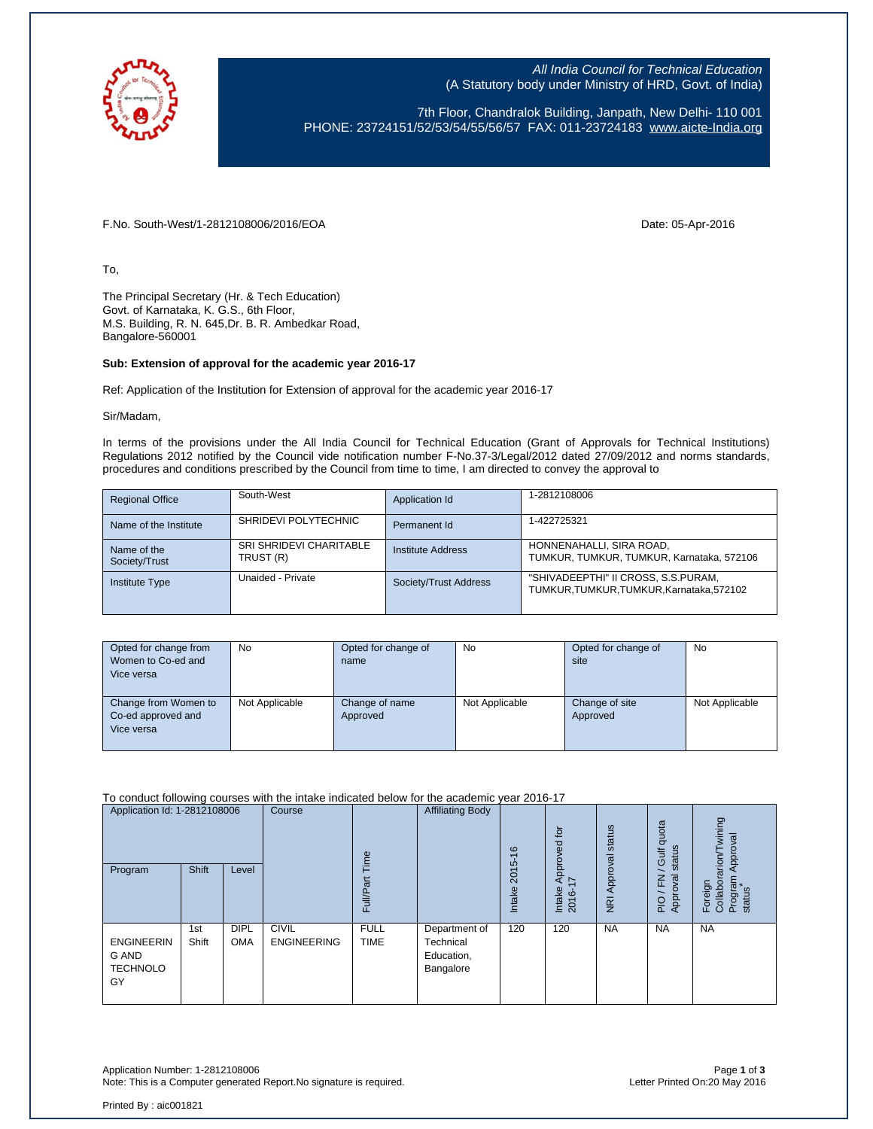

All India Council for Technical Education (A Statutory body under Ministry of HRD, Govt. of India)

7th Floor, Chandralok Building, Janpath, New Delhi- 110 001 PHONE: 23724151/52/53/54/55/56/57 FAX: 011-23724183 [www.aicte-India.org](http://www.aicte-india.org/)

F.No. South-West/1-2812108006/2016/EOA Date: 05-Apr-2016

To,

The Principal Secretary (Hr. & Tech Education) Govt. of Karnataka, K. G.S., 6th Floor, M.S. Building, R. N. 645,Dr. B. R. Ambedkar Road, Bangalore-560001

## **Sub: Extension of approval for the academic year 2016-17**

Ref: Application of the Institution for Extension of approval for the academic year 2016-17

Sir/Madam,

In terms of the provisions under the All India Council for Technical Education (Grant of Approvals for Technical Institutions) Regulations 2012 notified by the Council vide notification number F-No.37-3/Legal/2012 dated 27/09/2012 and norms standards, procedures and conditions prescribed by the Council from time to time, I am directed to convey the approval to

| <b>Regional Office</b>       | South-West                                  | Application Id           | 1-2812108006                                                                 |
|------------------------------|---------------------------------------------|--------------------------|------------------------------------------------------------------------------|
| Name of the Institute        | SHRIDEVI POLYTECHNIC                        | Permanent Id             | 1-422725321                                                                  |
| Name of the<br>Society/Trust | <b>SRI SHRIDEVI CHARITABLE</b><br>TRUST (R) | <b>Institute Address</b> | HONNENAHALLI, SIRA ROAD,<br>TUMKUR, TUMKUR, TUMKUR, Karnataka, 572106        |
| <b>Institute Type</b>        | Unaided - Private                           | Society/Trust Address    | "SHIVADEEPTHI" II CROSS, S.S.PURAM,<br>TUMKUR.TUMKUR.TUMKUR.Karnataka.572102 |

| Opted for change from<br>Women to Co-ed and<br>Vice versa | No             | Opted for change of<br>name | No             | Opted for change of<br>site | No             |
|-----------------------------------------------------------|----------------|-----------------------------|----------------|-----------------------------|----------------|
| Change from Women to<br>Co-ed approved and<br>Vice versa  | Not Applicable | Change of name<br>Approved  | Not Applicable | Change of site<br>Approved  | Not Applicable |

To conduct following courses with the intake indicated below for the academic year 2016-17

| Application Id: 1-2812108006<br>Program                    | Shift        | Level                     | Course                             | Time<br>āť<br>Full/P <sub>?</sub> | <b>Affiliating Body</b>                               | $\frac{6}{5}$<br>2015<br>Intake | for<br>Approved<br>$\overline{\phantom{0}}$<br>Intake<br>2016- | NRI Approval status | quota<br>status<br>Gulf<br>∽<br>준<br>ख़<br><b>Appro</b><br>$\overline{P}$ | wining<br>Approval<br>arion/T<br>Foreign<br>Collabora<br>Program<br>status |
|------------------------------------------------------------|--------------|---------------------------|------------------------------------|-----------------------------------|-------------------------------------------------------|---------------------------------|----------------------------------------------------------------|---------------------|---------------------------------------------------------------------------|----------------------------------------------------------------------------|
| <b>ENGINEERIN</b><br><b>G AND</b><br><b>TECHNOLO</b><br>GY | 1st<br>Shift | <b>DIPL</b><br><b>OMA</b> | <b>CIVIL</b><br><b>ENGINEERING</b> | <b>FULL</b><br><b>TIME</b>        | Department of<br>Technical<br>Education,<br>Bangalore | 120                             | 120                                                            | <b>NA</b>           | <b>NA</b>                                                                 | <b>NA</b>                                                                  |

Application Number: 1-2812108006 Page **1** of **3** Note: This is a Computer generated Report. No signature is required.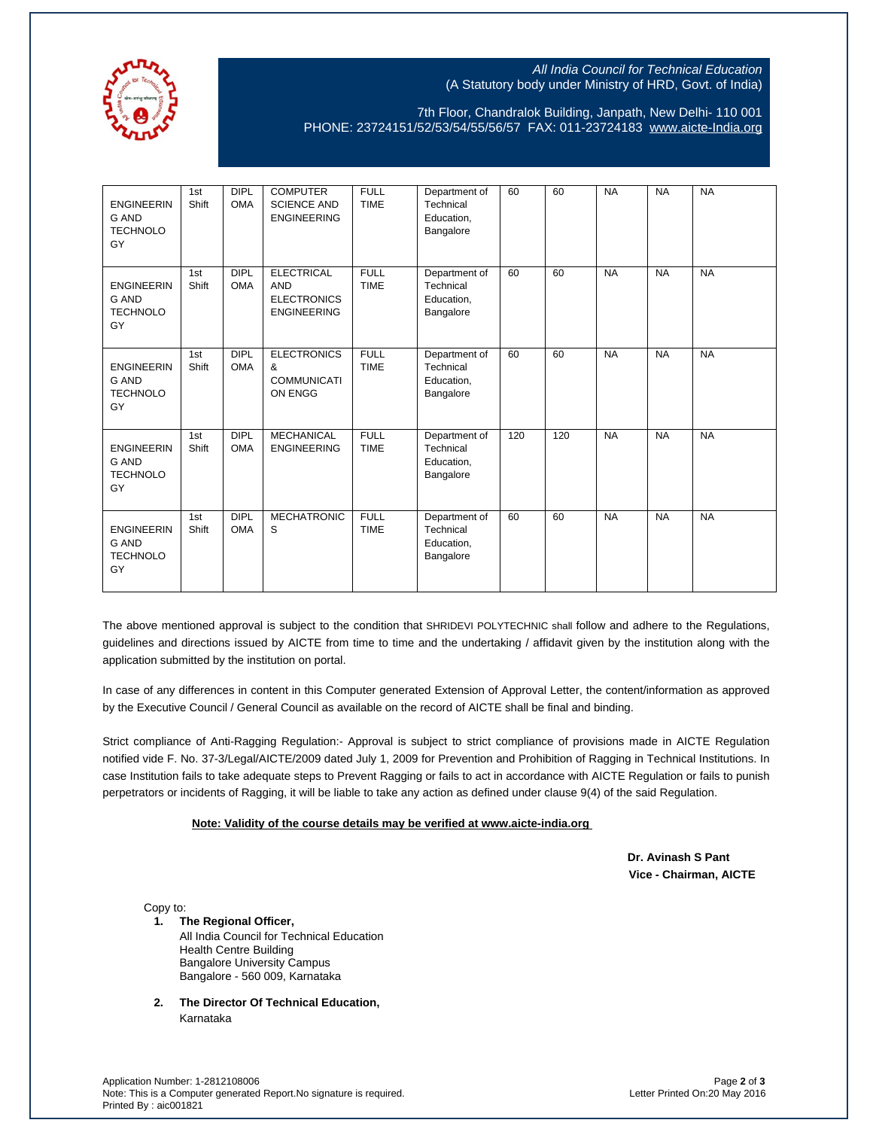

## All India Council for Technical Education (A Statutory body under Ministry of HRD, Govt. of India)

7th Floor, Chandralok Building, Janpath, New Delhi- 110 001 PHONE: 23724151/52/53/54/55/56/57 FAX: 011-23724183 [www.aicte-India.org](http://www.aicte-india.org/)

| <b>ENGINEERIN</b><br><b>G AND</b><br><b>TECHNOLO</b><br>GY | 1st<br>Shift | <b>DIPL</b><br><b>OMA</b> | <b>COMPUTER</b><br><b>SCIENCE AND</b><br><b>ENGINEERING</b>                 | <b>FULL</b><br><b>TIME</b> | Department of<br>Technical<br>Education,<br>Bangalore | 60  | 60  | <b>NA</b> | <b>NA</b> | <b>NA</b> |
|------------------------------------------------------------|--------------|---------------------------|-----------------------------------------------------------------------------|----------------------------|-------------------------------------------------------|-----|-----|-----------|-----------|-----------|
| <b>ENGINEERIN</b><br><b>G AND</b><br><b>TECHNOLO</b><br>GY | 1st<br>Shift | DIPL<br><b>OMA</b>        | <b>ELECTRICAL</b><br><b>AND</b><br><b>ELECTRONICS</b><br><b>ENGINEERING</b> | <b>FULL</b><br><b>TIME</b> | Department of<br>Technical<br>Education,<br>Bangalore | 60  | 60  | <b>NA</b> | <b>NA</b> | <b>NA</b> |
| <b>ENGINEERIN</b><br>G AND<br><b>TECHNOLO</b><br>GY        | 1st<br>Shift | <b>DIPL</b><br><b>OMA</b> | <b>ELECTRONICS</b><br>&<br><b>COMMUNICATI</b><br>ON ENGG                    | <b>FULL</b><br><b>TIME</b> | Department of<br>Technical<br>Education,<br>Bangalore | 60  | 60  | <b>NA</b> | <b>NA</b> | <b>NA</b> |
| <b>ENGINEERIN</b><br><b>G AND</b><br><b>TECHNOLO</b><br>GY | 1st<br>Shift | <b>DIPL</b><br><b>OMA</b> | <b>MECHANICAL</b><br><b>ENGINEERING</b>                                     | <b>FULL</b><br><b>TIME</b> | Department of<br>Technical<br>Education,<br>Bangalore | 120 | 120 | <b>NA</b> | <b>NA</b> | <b>NA</b> |
| <b>ENGINEERIN</b><br><b>G AND</b><br><b>TECHNOLO</b><br>GY | 1st<br>Shift | <b>DIPL</b><br><b>OMA</b> | <b>MECHATRONIC</b><br>S                                                     | <b>FULL</b><br><b>TIME</b> | Department of<br>Technical<br>Education,<br>Bangalore | 60  | 60  | <b>NA</b> | <b>NA</b> | <b>NA</b> |

The above mentioned approval is subject to the condition that SHRIDEVI POLYTECHNIC shall follow and adhere to the Regulations, guidelines and directions issued by AICTE from time to time and the undertaking / affidavit given by the institution along with the application submitted by the institution on portal.

In case of any differences in content in this Computer generated Extension of Approval Letter, the content/information as approved by the Executive Council / General Council as available on the record of AICTE shall be final and binding.

Strict compliance of Anti-Ragging Regulation:- Approval is subject to strict compliance of provisions made in AICTE Regulation notified vide F. No. 37-3/Legal/AICTE/2009 dated July 1, 2009 for Prevention and Prohibition of Ragging in Technical Institutions. In case Institution fails to take adequate steps to Prevent Ragging or fails to act in accordance with AICTE Regulation or fails to punish perpetrators or incidents of Ragging, it will be liable to take any action as defined under clause 9(4) of the said Regulation.

## **Note: Validity of the course details may be verified at www.aicte-india.org**

 **Dr. Avinash S Pant Vice - Chairman, AICTE**

Copy to:

- **1. The Regional Officer,** All India Council for Technical Education Health Centre Building Bangalore University Campus Bangalore - 560 009, Karnataka
- **2. The Director Of Technical Education,** Karnataka